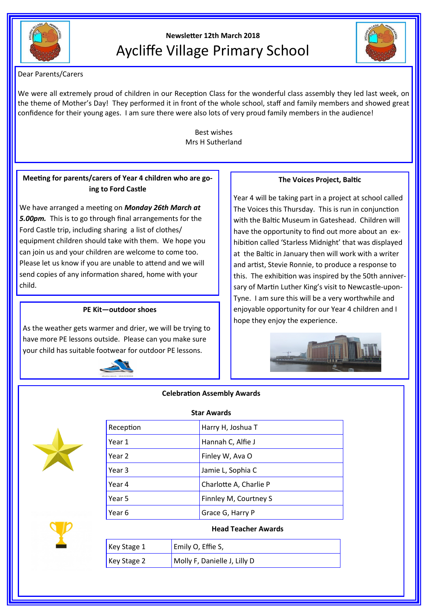

# **Newsletter 12th March 2018** Aycliffe Village Primary School



Dear Parents/Carers

We were all extremely proud of children in our Reception Class for the wonderful class assembly they led last week, on the theme of Mother's Day! They performed it in front of the whole school, staff and family members and showed great confidence for their young ages. I am sure there were also lots of very proud family members in the audience!

> Best wishes Mrs H Sutherland

# **Meeting for parents/carers of Year 4 children who are going to Ford Castle**

We have arranged a meeting on *Monday 26th March at 5.00pm.* This is to go through final arrangements for the Ford Castle trip, including sharing a list of clothes/ equipment children should take with them. We hope you can join us and your children are welcome to come too. Please let us know if you are unable to attend and we will send copies of any information shared, home with your child.

### **PE Kit—outdoor shoes**

As the weather gets warmer and drier, we will be trying to have more PE lessons outside. Please can you make sure your child has suitable footwear for outdoor PE lessons.



## **The Voices Project, Baltic**

Year 4 will be taking part in a project at school called The Voices this Thursday. This is run in conjunction with the Baltic Museum in Gateshead. Children will have the opportunity to find out more about an exhibition called 'Starless Midnight' that was displayed at the Baltic in January then will work with a writer and artist, Stevie Ronnie, to produce a response to this. The exhibition was inspired by the 50th anniversary of Martin Luther King's visit to Newcastle-upon-Tyne. I am sure this will be a very worthwhile and enjoyable opportunity for our Year 4 children and I hope they enjoy the experience.



#### **Celebration Assembly Awards**



| <b>Star Awards</b> |                        |  |
|--------------------|------------------------|--|
| Reception          | Harry H, Joshua T      |  |
| Year 1             | Hannah C, Alfie J      |  |
| Year 2             | Finley W, Ava O        |  |
| Year 3             | Jamie L, Sophia C      |  |
| Year 4             | Charlotte A, Charlie P |  |
| Year 5             | Finnley M, Courtney S  |  |
| Year 6             | Grace G, Harry P       |  |
|                    |                        |  |

#### **Head Teacher Awards**

| Key Stage $1$       | Emily O, Effie S,            |
|---------------------|------------------------------|
| $\vert$ Key Stage 2 | Molly F, Danielle J, Lilly D |